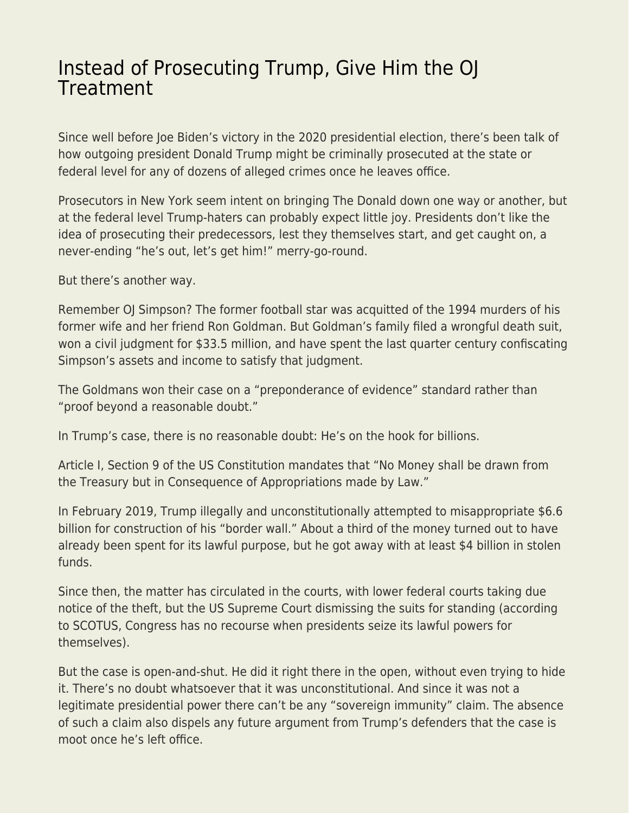## [Instead of Prosecuting Trump, Give Him the OJ](https://everything-voluntary.com/instead-of-prosecuting-trump-give-him-the-oj-treatment) [Treatment](https://everything-voluntary.com/instead-of-prosecuting-trump-give-him-the-oj-treatment)

Since well before Joe Biden's victory in the 2020 presidential election, there's been talk of how outgoing president Donald Trump might be criminally prosecuted at the state or federal level for any of dozens of alleged crimes once he leaves office.

Prosecutors in New York seem intent on bringing The Donald down one way or another, but at the federal level Trump-haters can probably expect little joy. Presidents don't like the idea of prosecuting their predecessors, lest they themselves start, and get caught on, a never-ending "he's out, let's get him!" merry-go-round.

But there's another way.

Remember OJ Simpson? The former football star was acquitted of the 1994 murders of his former wife and her friend Ron Goldman. But Goldman's family filed a wrongful death suit, won a civil judgment for \$33.5 million, and have spent the last quarter century confiscating Simpson's assets and income to satisfy that judgment.

The Goldmans won their case on a "preponderance of evidence" standard rather than "proof beyond a reasonable doubt."

In Trump's case, there is no reasonable doubt: He's on the hook for billions.

Article I, Section 9 of the US Constitution mandates that "No Money shall be drawn from the Treasury but in Consequence of Appropriations made by Law."

In February 2019, Trump illegally and unconstitutionally attempted to misappropriate \$6.6 billion for construction of his "border wall." About a third of the money turned out to have already been spent for its lawful purpose, but he got away with at least \$4 billion in stolen funds.

Since then, the matter has circulated in the courts, with lower federal courts taking due notice of the theft, but the US Supreme Court dismissing the suits for standing (according to SCOTUS, Congress has no recourse when presidents seize its lawful powers for themselves).

But the case is open-and-shut. He did it right there in the open, without even trying to hide it. There's no doubt whatsoever that it was unconstitutional. And since it was not a legitimate presidential power there can't be any "sovereign immunity" claim. The absence of such a claim also dispels any future argument from Trump's defenders that the case is moot once he's left office.